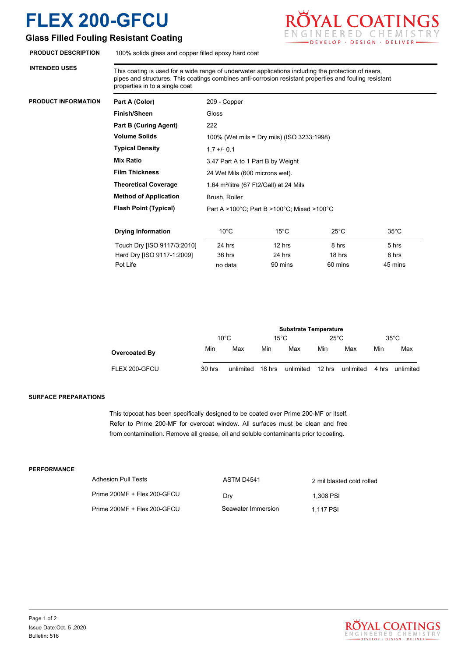## **Glass Filled Fouling Resistant Coating**

**PRODUCT INFORMATION** 

**INTENDED USES**

**FLEX 200-GFCU**<br>Glass Filled Fouling Resistant Coating<br>ENGINEERED CHEMISTRY DEVELOP · DESIGN · DELIVER

**PRODUCT DESCRIPTION** 100% solids glass and copper filled epoxy hard coat

This coating is used for a wide range of underwater applications including the protection of risers, pipes and structures. This coatings combines anti-corrosion resistant properties and fouling resistant properties in to a single coat

| Part A (Color)               | 209 - Copper                                        |                |                |                |  |  |
|------------------------------|-----------------------------------------------------|----------------|----------------|----------------|--|--|
| <b>Finish/Sheen</b>          | Gloss                                               |                |                |                |  |  |
| <b>Part B (Curing Agent)</b> | 222                                                 |                |                |                |  |  |
| <b>Volume Solids</b>         | 100% (Wet mils = Dry mils) (ISO 3233:1998)          |                |                |                |  |  |
| <b>Typical Density</b>       | $1.7 + 0.1$                                         |                |                |                |  |  |
| <b>Mix Ratio</b>             | 3.47 Part A to 1 Part B by Weight                   |                |                |                |  |  |
| <b>Film Thickness</b>        | 24 Wet Mils (600 microns wet).                      |                |                |                |  |  |
| <b>Theoretical Coverage</b>  | 1.64 m <sup>2</sup> /litre (67 Ft2/Gall) at 24 Mils |                |                |                |  |  |
| <b>Method of Application</b> | Brush, Roller                                       |                |                |                |  |  |
| <b>Flash Point (Typical)</b> | Part A >100°C; Part B >100°C; Mixed >100°C          |                |                |                |  |  |
|                              |                                                     |                |                |                |  |  |
| <b>Drying Information</b>    | $10^{\circ}$ C                                      | $15^{\circ}$ C | $25^{\circ}$ C | $35^{\circ}$ C |  |  |
| Touch Dry [ISO 9117/3:2010]  | 24 hrs                                              | 12 hrs         | 8 hrs          | 5 hrs          |  |  |
| Hard Dry [ISO 9117-1:2009]   | 36 hrs                                              | 24 hrs         | 18 hrs         | 8 hrs          |  |  |

|               |        | <b>Substrate Temperature</b> |        |                |                |           |       |                |
|---------------|--------|------------------------------|--------|----------------|----------------|-----------|-------|----------------|
|               |        | $10^{\circ}$ C               |        | $15^{\circ}$ C | $25^{\circ}$ C |           |       | $35^{\circ}$ C |
| Overcoated By | Min    | Max                          | Min    | Max            | Min            | Max       | Min   | Max            |
| FLEX 200-GFCU | 30 hrs | unlimited                    | 18 hrs | unlimited      | 12 hrs         | unlimited | 4 hrs | unlimited      |

Pot Life **no data** 90 mins 60 mins 45 mins 460 mins

### **SURFACE PREPARATIONS**

This topcoat has been specifically designed to be coated over Prime 200-MF or itself. Refer to Prime 200-MF for overcoat window. All surfaces must be clean and free from contamination. Remove all grease, oil and soluble contaminants prior tocoating.

#### **PERFORMANCE**

| Adhesion Pull Tests         | ASTM D4541         | 2 mil blasted cold rolled |
|-----------------------------|--------------------|---------------------------|
| Prime 200MF + Flex 200-GFCU | Dry                | 1.308 PSI                 |
| Prime 200MF + Flex 200-GFCU | Seawater Immersion | 1.117 PSI                 |